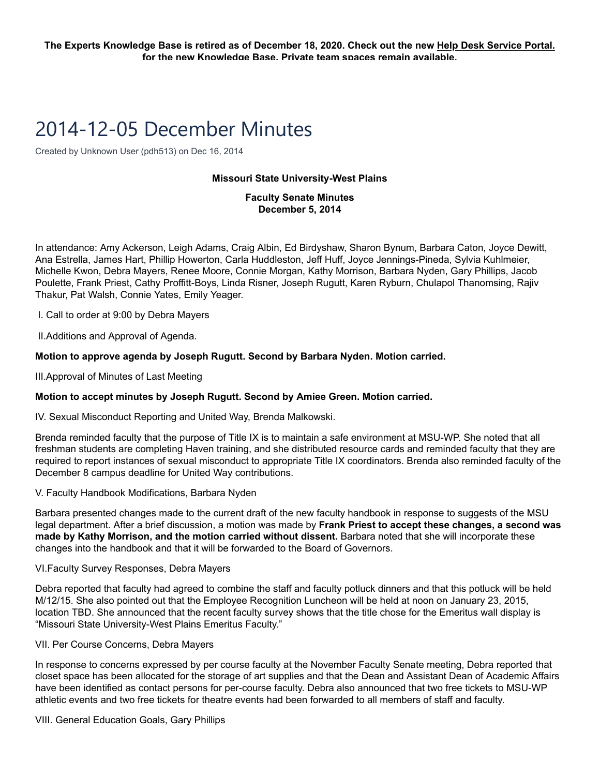# 2014-12-05 December Minutes

Created by Unknown User (pdh513) on Dec 16, 2014

### **Missouri State University-West Plains**

# **Faculty Senate Minutes December 5, 2014**

In attendance: Amy Ackerson, Leigh Adams, Craig Albin, Ed Birdyshaw, Sharon Bynum, Barbara Caton, Joyce Dewitt, Ana Estrella, James Hart, Phillip Howerton, Carla Huddleston, Jeff Huff, Joyce Jennings-Pineda, Sylvia Kuhlmeier, Michelle Kwon, Debra Mayers, Renee Moore, Connie Morgan, Kathy Morrison, Barbara Nyden, Gary Phillips, Jacob Poulette, Frank Priest, Cathy Proffitt-Boys, Linda Risner, Joseph Rugutt, Karen Ryburn, Chulapol Thanomsing, Rajiv Thakur, Pat Walsh, Connie Yates, Emily Yeager.

I. Call to order at 9:00 by Debra Mayers

II.Additions and Approval of Agenda.

# **Motion to approve agenda by Joseph Rugutt. Second by Barbara Nyden. Motion carried.**

III.Approval of Minutes of Last Meeting

#### **Motion to accept minutes by Joseph Rugutt. Second by Amiee Green. Motion carried.**

IV. Sexual Misconduct Reporting and United Way, Brenda Malkowski.

Brenda reminded faculty that the purpose of Title IX is to maintain a safe environment at MSU-WP. She noted that all freshman students are completing Haven training, and she distributed resource cards and reminded faculty that they are required to report instances of sexual misconduct to appropriate Title IX coordinators. Brenda also reminded faculty of the December 8 campus deadline for United Way contributions.

#### V. Faculty Handbook Modifications, Barbara Nyden

Barbara presented changes made to the current draft of the new faculty handbook in response to suggests of the MSU legal department. After a brief discussion, a motion was made by **Frank Priest to accept these changes, a second was made by Kathy Morrison, and the motion carried without dissent.** Barbara noted that she will incorporate these changes into the handbook and that it will be forwarded to the Board of Governors.

#### VI.Faculty Survey Responses, Debra Mayers

Debra reported that faculty had agreed to combine the staff and faculty potluck dinners and that this potluck will be held M/12/15. She also pointed out that the Employee Recognition Luncheon will be held at noon on January 23, 2015, location TBD. She announced that the recent faculty survey shows that the title chose for the Emeritus wall display is "Missouri State University-West Plains Emeritus Faculty."

#### VII. Per Course Concerns, Debra Mayers

In response to concerns expressed by per course faculty at the November Faculty Senate meeting, Debra reported that closet space has been allocated for the storage of art supplies and that the Dean and Assistant Dean of Academic Affairs have been identified as contact persons for per-course faculty. Debra also announced that two free tickets to MSU-WP athletic events and two free tickets for theatre events had been forwarded to all members of staff and faculty.

VIII. General Education Goals, Gary Phillips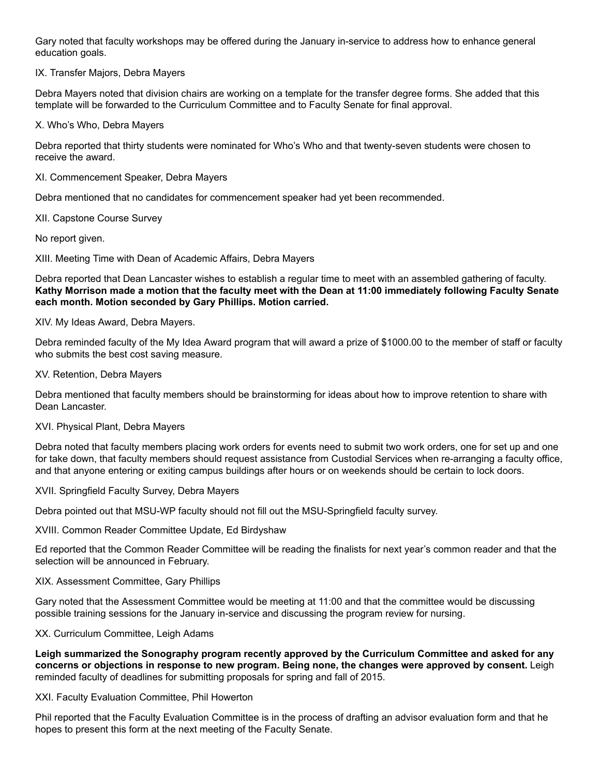Gary noted that faculty workshops may be offered during the January in-service to address how to enhance general education goals.

IX. Transfer Majors, Debra Mayers

Debra Mayers noted that division chairs are working on a template for the transfer degree forms. She added that this template will be forwarded to the Curriculum Committee and to Faculty Senate for final approval.

X. Who's Who, Debra Mayers

Debra reported that thirty students were nominated for Who's Who and that twenty-seven students were chosen to receive the award.

XI. Commencement Speaker, Debra Mayers

Debra mentioned that no candidates for commencement speaker had yet been recommended.

XII. Capstone Course Survey

No report given.

XIII. Meeting Time with Dean of Academic Affairs, Debra Mayers

Debra reported that Dean Lancaster wishes to establish a regular time to meet with an assembled gathering of faculty. **Kathy Morrison made a motion that the faculty meet with the Dean at 11:00 immediately following Faculty Senate each month. Motion seconded by Gary Phillips. Motion carried.**

XIV. My Ideas Award, Debra Mayers.

Debra reminded faculty of the My Idea Award program that will award a prize of \$1000.00 to the member of staff or faculty who submits the best cost saving measure.

XV. Retention, Debra Mayers

Debra mentioned that faculty members should be brainstorming for ideas about how to improve retention to share with Dean Lancaster.

#### XVI. Physical Plant, Debra Mayers

Debra noted that faculty members placing work orders for events need to submit two work orders, one for set up and one for take down, that faculty members should request assistance from Custodial Services when re-arranging a faculty office, and that anyone entering or exiting campus buildings after hours or on weekends should be certain to lock doors.

XVII. Springfield Faculty Survey, Debra Mayers

Debra pointed out that MSU-WP faculty should not fill out the MSU-Springfield faculty survey.

XVIII. Common Reader Committee Update, Ed Birdyshaw

Ed reported that the Common Reader Committee will be reading the finalists for next year's common reader and that the selection will be announced in February.

#### XIX. Assessment Committee, Gary Phillips

Gary noted that the Assessment Committee would be meeting at 11:00 and that the committee would be discussing possible training sessions for the January in-service and discussing the program review for nursing.

XX. Curriculum Committee, Leigh Adams

**Leigh summarized the Sonography program recently approved by the Curriculum Committee and asked for any concerns or objections in response to new program. Being none, the changes were approved by consent.** Leigh reminded faculty of deadlines for submitting proposals for spring and fall of 2015.

#### XXI. Faculty Evaluation Committee, Phil Howerton

Phil reported that the Faculty Evaluation Committee is in the process of drafting an advisor evaluation form and that he hopes to present this form at the next meeting of the Faculty Senate.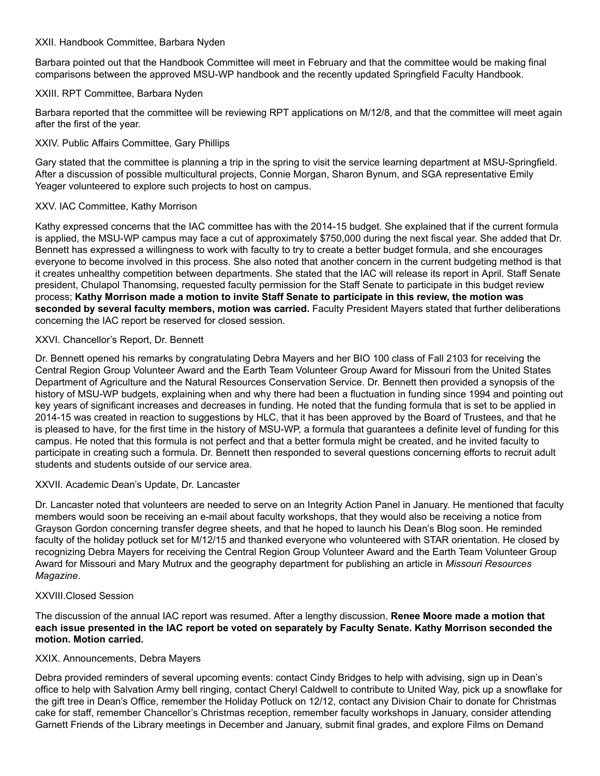### XXII. Handbook Committee, Barbara Nyden

Barbara pointed out that the Handbook Committee will meet in February and that the committee would be making final comparisons between the approved MSU-WP handbook and the recently updated Springfield Faculty Handbook.

# XXIII. RPT Committee, Barbara Nyden

Barbara reported that the committee will be reviewing RPT applications on M/12/8, and that the committee will meet again after the first of the year.

# XXIV. Public Affairs Committee, Gary Phillips

Gary stated that the committee is planning a trip in the spring to visit the service learning department at MSU-Springfield. After a discussion of possible multicultural projects, Connie Morgan, Sharon Bynum, and SGA representative Emily Yeager volunteered to explore such projects to host on campus.

## XXV. IAC Committee, Kathy Morrison

Kathy expressed concerns that the IAC committee has with the 2014-15 budget. She explained that if the current formula is applied, the MSU-WP campus may face a cut of approximately \$750,000 during the next fiscal year. She added that Dr. Bennett has expressed a willingness to work with faculty to try to create a better budget formula, and she encourages everyone to become involved in this process. She also noted that another concern in the current budgeting method is that it creates unhealthy competition between departments. She stated that the IAC will release its report in April. Staff Senate president, Chulapol Thanomsing, requested faculty permission for the Staff Senate to participate in this budget review process; **Kathy Morrison made a motion to invite Staff Senate to participate in this review, the motion was seconded by several faculty members, motion was carried.** Faculty President Mayers stated that further deliberations concerning the IAC report be reserved for closed session.

## XXVI. Chancellor's Report, Dr. Bennett

Dr. Bennett opened his remarks by congratulating Debra Mayers and her BIO 100 class of Fall 2103 for receiving the Central Region Group Volunteer Award and the Earth Team Volunteer Group Award for Missouri from the United States Department of Agriculture and the Natural Resources Conservation Service. Dr. Bennett then provided a synopsis of the history of MSU-WP budgets, explaining when and why there had been a fluctuation in funding since 1994 and pointing out key years of significant increases and decreases in funding. He noted that the funding formula that is set to be applied in 2014-15 was created in reaction to suggestions by HLC, that it has been approved by the Board of Trustees, and that he is pleased to have, for the first time in the history of MSU-WP, a formula that guarantees a definite level of funding for this campus. He noted that this formula is not perfect and that a better formula might be created, and he invited faculty to participate in creating such a formula. Dr. Bennett then responded to several questions concerning efforts to recruit adult students and students outside of our service area.

#### XXVII. Academic Dean's Update, Dr. Lancaster

Dr. Lancaster noted that volunteers are needed to serve on an Integrity Action Panel in January. He mentioned that faculty members would soon be receiving an e-mail about faculty workshops, that they would also be receiving a notice from Grayson Gordon concerning transfer degree sheets, and that he hoped to launch his Dean's Blog soon. He reminded faculty of the holiday potluck set for M/12/15 and thanked everyone who volunteered with STAR orientation. He closed by recognizing Debra Mayers for receiving the Central Region Group Volunteer Award and the Earth Team Volunteer Group Award for Missouri and Mary Mutrux and the geography department for publishing an article in *Missouri Resources Magazine*.

#### XXVIII.Closed Session

The discussion of the annual IAC report was resumed. After a lengthy discussion, **Renee Moore made a motion that each issue presented in the IAC report be voted on separately by Faculty Senate. Kathy Morrison seconded the motion. Motion carried.**

#### XXIX. Announcements, Debra Mayers

Debra provided reminders of several upcoming events: contact Cindy Bridges to help with advising, sign up in Dean's office to help with Salvation Army bell ringing, contact Cheryl Caldwell to contribute to United Way, pick up a snowflake for the gift tree in Dean's Office, remember the Holiday Potluck on 12/12, contact any Division Chair to donate for Christmas cake for staff, remember Chancellor's Christmas reception, remember faculty workshops in January, consider attending Garnett Friends of the Library meetings in December and January, submit final grades, and explore Films on Demand